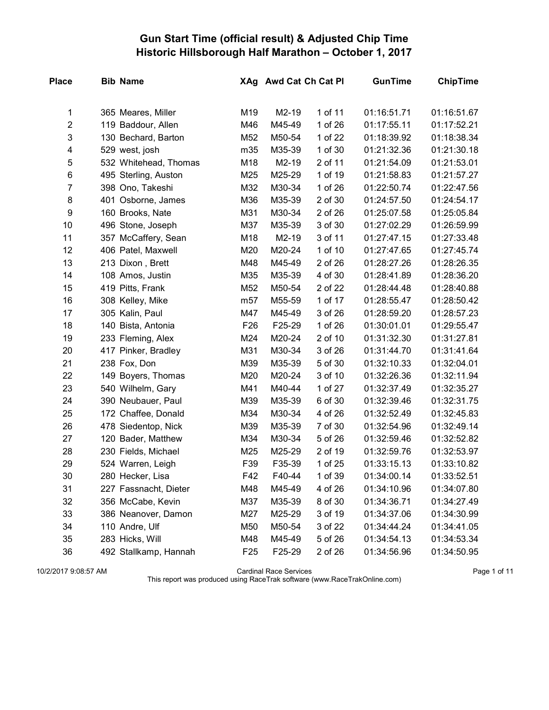## Gun Start Time (official result) & Adjusted Chip Time Historic Hillsborough Half Marathon – October 1, 2017

| <b>Place</b>     | <b>Bib Name</b>       |                 | XAg Awd Cat Ch Cat Pl |         | <b>GunTime</b> | <b>ChipTime</b> |
|------------------|-----------------------|-----------------|-----------------------|---------|----------------|-----------------|
| 1                | 365 Meares, Miller    | M19             | M2-19                 | 1 of 11 | 01:16:51.71    | 01:16:51.67     |
| $\overline{c}$   | 119 Baddour, Allen    | M46             | M45-49                | 1 of 26 | 01:17:55.11    | 01:17:52.21     |
| 3                | 130 Bechard, Barton   | M52             | M50-54                | 1 of 22 | 01:18:39.92    | 01:18:38.34     |
| 4                | 529 west, josh        | m35             | M35-39                | 1 of 30 | 01:21:32.36    | 01:21:30.18     |
| 5                | 532 Whitehead, Thomas | M18             | M2-19                 | 2 of 11 | 01:21:54.09    | 01:21:53.01     |
| 6                | 495 Sterling, Auston  | M25             | M25-29                | 1 of 19 | 01:21:58.83    | 01:21:57.27     |
| $\overline{7}$   | 398 Ono, Takeshi      | M32             | M30-34                | 1 of 26 | 01:22:50.74    | 01:22:47.56     |
| 8                | 401 Osborne, James    | M36             | M35-39                | 2 of 30 | 01:24:57.50    | 01:24:54.17     |
| $\boldsymbol{9}$ | 160 Brooks, Nate      | M31             | M30-34                | 2 of 26 | 01:25:07.58    | 01:25:05.84     |
| 10               | 496 Stone, Joseph     | M37             | M35-39                | 3 of 30 | 01:27:02.29    | 01:26:59.99     |
| 11               | 357 McCaffery, Sean   | M18             | M2-19                 | 3 of 11 | 01:27:47.15    | 01:27:33.48     |
| 12               | 406 Patel, Maxwell    | M20             | M20-24                | 1 of 10 | 01:27:47.65    | 01:27:45.74     |
| 13               | 213 Dixon, Brett      | M48             | M45-49                | 2 of 26 | 01:28:27.26    | 01:28:26.35     |
| 14               | 108 Amos, Justin      | M35             | M35-39                | 4 of 30 | 01:28:41.89    | 01:28:36.20     |
| 15               | 419 Pitts, Frank      | M52             | M50-54                | 2 of 22 | 01:28:44.48    | 01:28:40.88     |
| 16               | 308 Kelley, Mike      | m <sub>57</sub> | M55-59                | 1 of 17 | 01:28:55.47    | 01:28:50.42     |
| 17               | 305 Kalin, Paul       | M47             | M45-49                | 3 of 26 | 01:28:59.20    | 01:28:57.23     |
| 18               | 140 Bista, Antonia    | F26             | F25-29                | 1 of 26 | 01:30:01.01    | 01:29:55.47     |
| 19               | 233 Fleming, Alex     | M24             | M20-24                | 2 of 10 | 01:31:32.30    | 01:31:27.81     |
| 20               | 417 Pinker, Bradley   | M31             | M30-34                | 3 of 26 | 01:31:44.70    | 01:31:41.64     |
| 21               | 238 Fox, Don          | M39             | M35-39                | 5 of 30 | 01:32:10.33    | 01:32:04.01     |
| 22               | 149 Boyers, Thomas    | M20             | M20-24                | 3 of 10 | 01:32:26.36    | 01:32:11.94     |
| 23               | 540 Wilhelm, Gary     | M41             | M40-44                | 1 of 27 | 01:32:37.49    | 01:32:35.27     |
| 24               | 390 Neubauer, Paul    | M39             | M35-39                | 6 of 30 | 01:32:39.46    | 01:32:31.75     |
| 25               | 172 Chaffee, Donald   | M34             | M30-34                | 4 of 26 | 01:32:52.49    | 01:32:45.83     |
| 26               | 478 Siedentop, Nick   | M39             | M35-39                | 7 of 30 | 01:32:54.96    | 01:32:49.14     |
| 27               | 120 Bader, Matthew    | M34             | M30-34                | 5 of 26 | 01:32:59.46    | 01:32:52.82     |
| 28               | 230 Fields, Michael   | M25             | M25-29                | 2 of 19 | 01:32:59.76    | 01:32:53.97     |
| 29               | 524 Warren, Leigh     | F39             | F35-39                | 1 of 25 | 01:33:15.13    | 01:33:10.82     |
| 30               | 280 Hecker, Lisa      | F42             | F40-44                | 1 of 39 | 01:34:00.14    | 01:33:52.51     |
| 31               | 227 Fassnacht, Dieter | M48             | M45-49                | 4 of 26 | 01:34:10.96    | 01:34:07.80     |
| 32               | 356 McCabe, Kevin     | M37             | M35-39                | 8 of 30 | 01:34:36.71    | 01:34:27.49     |
| 33               | 386 Neanover, Damon   | M27             | M25-29                | 3 of 19 | 01:34:37.06    | 01:34:30.99     |
| 34               | 110 Andre, Ulf        | M50             | M50-54                | 3 of 22 | 01:34:44.24    | 01:34:41.05     |
| 35               | 283 Hicks, Will       | M48             | M45-49                | 5 of 26 | 01:34:54.13    | 01:34:53.34     |
| 36               | 492 Stallkamp, Hannah | F <sub>25</sub> | F25-29                | 2 of 26 | 01:34:56.96    | 01:34:50.95     |

10/2/2017 9:08:57 AM Cardinal Race Services Page 1 of 11

This report was produced using RaceTrak software (www.RaceTrakOnline.com)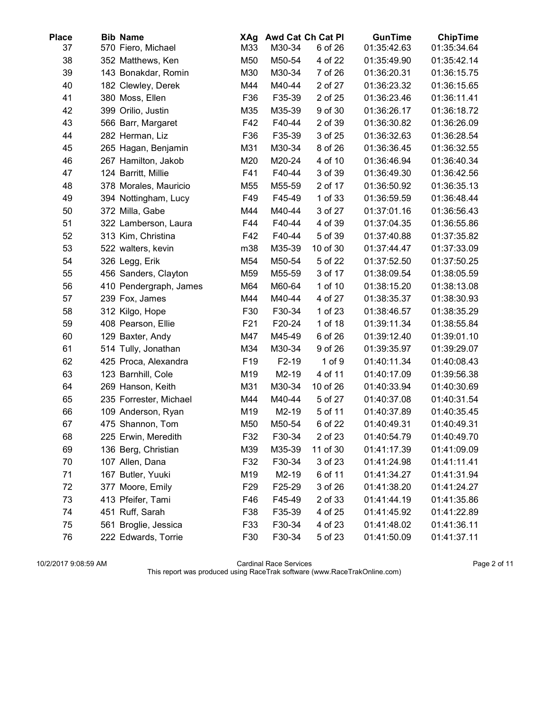| <b>Place</b> | <b>Bib Name</b>        | XAg             |        | Awd Cat Ch Cat Pl | <b>GunTime</b> | <b>ChipTime</b> |
|--------------|------------------------|-----------------|--------|-------------------|----------------|-----------------|
| 37           | 570 Fiero, Michael     | M33             | M30-34 | 6 of 26           | 01:35:42.63    | 01:35:34.64     |
| 38           | 352 Matthews, Ken      | M50             | M50-54 | 4 of 22           | 01:35:49.90    | 01:35:42.14     |
| 39           | 143 Bonakdar, Romin    | M30             | M30-34 | 7 of 26           | 01:36:20.31    | 01:36:15.75     |
| 40           | 182 Clewley, Derek     | M44             | M40-44 | 2 of 27           | 01:36:23.32    | 01:36:15.65     |
| 41           | 380 Moss, Ellen        | F36             | F35-39 | 2 of 25           | 01:36:23.46    | 01:36:11.41     |
| 42           | 399 Orilio, Justin     | M35             | M35-39 | 9 of 30           | 01:36:26.17    | 01:36:18.72     |
| 43           | 566 Barr, Margaret     | F42             | F40-44 | 2 of 39           | 01:36:30.82    | 01:36:26.09     |
| 44           | 282 Herman, Liz        | F36             | F35-39 | 3 of 25           | 01:36:32.63    | 01:36:28.54     |
| 45           | 265 Hagan, Benjamin    | M31             | M30-34 | 8 of 26           | 01:36:36.45    | 01:36:32.55     |
| 46           | 267 Hamilton, Jakob    | M20             | M20-24 | 4 of 10           | 01:36:46.94    | 01:36:40.34     |
| 47           | 124 Barritt, Millie    | F41             | F40-44 | 3 of 39           | 01:36:49.30    | 01:36:42.56     |
| 48           | 378 Morales, Mauricio  | M55             | M55-59 | 2 of 17           | 01:36:50.92    | 01:36:35.13     |
| 49           | 394 Nottingham, Lucy   | F49             | F45-49 | 1 of 33           | 01:36:59.59    | 01:36:48.44     |
| 50           | 372 Milla, Gabe        | M44             | M40-44 | 3 of 27           | 01:37:01.16    | 01:36:56.43     |
| 51           | 322 Lamberson, Laura   | F44             | F40-44 | 4 of 39           | 01:37:04.35    | 01:36:55.86     |
| 52           | 313 Kim, Christina     | F42             | F40-44 | 5 of 39           | 01:37:40.88    | 01:37:35.82     |
| 53           | 522 walters, kevin     | m38             | M35-39 | 10 of 30          | 01:37:44.47    | 01:37:33.09     |
| 54           | 326 Legg, Erik         | M54             | M50-54 | 5 of 22           | 01:37:52.50    | 01:37:50.25     |
| 55           | 456 Sanders, Clayton   | M59             | M55-59 | 3 of 17           | 01:38:09.54    | 01:38:05.59     |
| 56           | 410 Pendergraph, James | M64             | M60-64 | 1 of 10           | 01:38:15.20    | 01:38:13.08     |
| 57           | 239 Fox, James         | M44             | M40-44 | 4 of 27           | 01:38:35.37    | 01:38:30.93     |
| 58           | 312 Kilgo, Hope        | F30             | F30-34 | 1 of 23           | 01:38:46.57    | 01:38:35.29     |
| 59           | 408 Pearson, Ellie     | F <sub>21</sub> | F20-24 | 1 of 18           | 01:39:11.34    | 01:38:55.84     |
| 60           | 129 Baxter, Andy       | M47             | M45-49 | 6 of 26           | 01:39:12.40    | 01:39:01.10     |
| 61           | 514 Tully, Jonathan    | M34             | M30-34 | 9 of 26           | 01:39:35.97    | 01:39:29.07     |
| 62           | 425 Proca, Alexandra   | F <sub>19</sub> | F2-19  | $1$ of $9$        | 01:40:11.34    | 01:40:08.43     |
| 63           | 123 Barnhill, Cole     | M19             | M2-19  | 4 of 11           | 01:40:17.09    | 01:39:56.38     |
| 64           | 269 Hanson, Keith      | M31             | M30-34 | 10 of 26          | 01:40:33.94    | 01:40:30.69     |
| 65           | 235 Forrester, Michael | M44             | M40-44 | 5 of 27           | 01:40:37.08    | 01:40:31.54     |
| 66           | 109 Anderson, Ryan     | M19             | M2-19  | 5 of 11           | 01:40:37.89    | 01:40:35.45     |
| 67           | 475 Shannon, Tom       | M50             | M50-54 | 6 of 22           | 01:40:49.31    | 01:40:49.31     |
| 68           | 225 Erwin, Meredith    | F32             | F30-34 | 2 of 23           | 01:40:54.79    | 01:40:49.70     |
| 69           | 136 Berg, Christian    | M39             | M35-39 | 11 of 30          | 01:41:17.39    | 01:41:09.09     |
| 70           | 107 Allen, Dana        | F32             | F30-34 | 3 of 23           | 01:41:24.98    | 01:41:11.41     |
| 71           | 167 Butler, Yuuki      | M19             | M2-19  | 6 of 11           | 01:41:34.27    | 01:41:31.94     |
| 72           | 377 Moore, Emily       | F <sub>29</sub> | F25-29 | 3 of 26           | 01:41:38.20    | 01:41:24.27     |
| 73           | 413 Pfeifer, Tami      | F46             | F45-49 | 2 of 33           | 01:41:44.19    | 01:41:35.86     |
| 74           | 451 Ruff, Sarah        | F38             | F35-39 | 4 of 25           | 01:41:45.92    | 01:41:22.89     |
| 75           | 561 Broglie, Jessica   | F33             | F30-34 | 4 of 23           | 01:41:48.02    | 01:41:36.11     |
| 76           | 222 Edwards, Torrie    | F30             | F30-34 | 5 of 23           | 01:41:50.09    | 01:41:37.11     |

10/2/2017 9:08:59 AM Cardinal Race Services Page 2 of 11 This report was produced using RaceTrak software (www.RaceTrakOnline.com)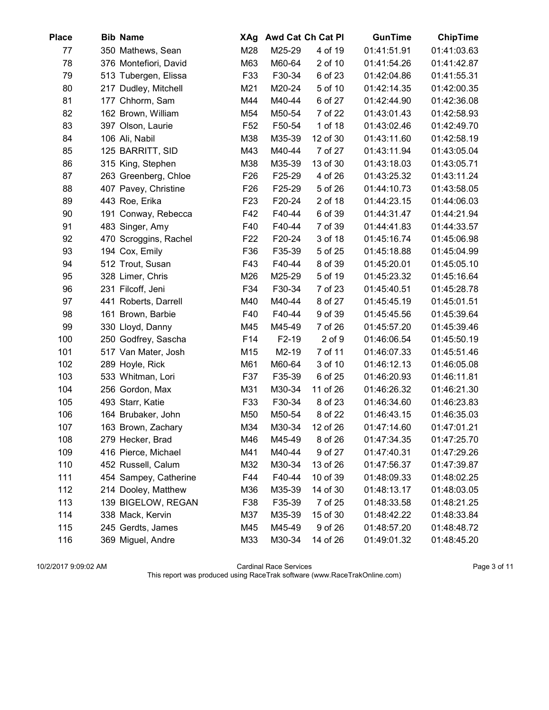| <b>Place</b> | <b>Bib Name</b>       | XAg             |        | Awd Cat Ch Cat Pl | <b>GunTime</b> | <b>ChipTime</b> |
|--------------|-----------------------|-----------------|--------|-------------------|----------------|-----------------|
| 77           | 350 Mathews, Sean     | M28             | M25-29 | 4 of 19           | 01:41:51.91    | 01:41:03.63     |
| 78           | 376 Montefiori, David | M63             | M60-64 | 2 of 10           | 01:41:54.26    | 01:41:42.87     |
| 79           | 513 Tubergen, Elissa  | F33             | F30-34 | 6 of 23           | 01:42:04.86    | 01:41:55.31     |
| 80           | 217 Dudley, Mitchell  | M21             | M20-24 | 5 of 10           | 01:42:14.35    | 01:42:00.35     |
| 81           | 177 Chhorm, Sam       | M44             | M40-44 | 6 of 27           | 01:42:44.90    | 01:42:36.08     |
| 82           | 162 Brown, William    | M54             | M50-54 | 7 of 22           | 01:43:01.43    | 01:42:58.93     |
| 83           | 397 Olson, Laurie     | F <sub>52</sub> | F50-54 | 1 of 18           | 01:43:02.46    | 01:42:49.70     |
| 84           | 106 Ali, Nabil        | M38             | M35-39 | 12 of 30          | 01:43:11.60    | 01:42:58.19     |
| 85           | 125 BARRITT, SID      | M43             | M40-44 | 7 of 27           | 01:43:11.94    | 01:43:05.04     |
| 86           | 315 King, Stephen     | M38             | M35-39 | 13 of 30          | 01:43:18.03    | 01:43:05.71     |
| 87           | 263 Greenberg, Chloe  | F <sub>26</sub> | F25-29 | 4 of 26           | 01:43:25.32    | 01:43:11.24     |
| 88           | 407 Pavey, Christine  | F <sub>26</sub> | F25-29 | 5 of 26           | 01:44:10.73    | 01:43:58.05     |
| 89           | 443 Roe, Erika        | F <sub>23</sub> | F20-24 | 2 of 18           | 01:44:23.15    | 01:44:06.03     |
| 90           | 191 Conway, Rebecca   | F42             | F40-44 | 6 of 39           | 01:44:31.47    | 01:44:21.94     |
| 91           | 483 Singer, Amy       | F40             | F40-44 | 7 of 39           | 01:44:41.83    | 01:44:33.57     |
| 92           | 470 Scroggins, Rachel | F <sub>22</sub> | F20-24 | 3 of 18           | 01:45:16.74    | 01:45:06.98     |
| 93           | 194 Cox, Emily        | F36             | F35-39 | 5 of 25           | 01:45:18.88    | 01:45:04.99     |
| 94           | 512 Trout, Susan      | F43             | F40-44 | 8 of 39           | 01:45:20.01    | 01:45:05.10     |
| 95           | 328 Limer, Chris      | M26             | M25-29 | 5 of 19           | 01:45:23.32    | 01:45:16.64     |
| 96           | 231 Filcoff, Jeni     | F34             | F30-34 | 7 of 23           | 01:45:40.51    | 01:45:28.78     |
| 97           | 441 Roberts, Darrell  | M40             | M40-44 | 8 of 27           | 01:45:45.19    | 01:45:01.51     |
| 98           | 161 Brown, Barbie     | F40             | F40-44 | 9 of 39           | 01:45:45.56    | 01:45:39.64     |
| 99           | 330 Lloyd, Danny      | M45             | M45-49 | 7 of 26           | 01:45:57.20    | 01:45:39.46     |
| 100          | 250 Godfrey, Sascha   | F14             | F2-19  | $2$ of $9$        | 01:46:06.54    | 01:45:50.19     |
| 101          | 517 Van Mater, Josh   | M15             | M2-19  | 7 of 11           | 01:46:07.33    | 01:45:51.46     |
| 102          | 289 Hoyle, Rick       | M61             | M60-64 | 3 of 10           | 01:46:12.13    | 01:46:05.08     |
| 103          | 533 Whitman, Lori     | F37             | F35-39 | 6 of 25           | 01:46:20.93    | 01:46:11.81     |
| 104          | 256 Gordon, Max       | M31             | M30-34 | 11 of 26          | 01:46:26.32    | 01:46:21.30     |
| 105          | 493 Starr, Katie      | F33             | F30-34 | 8 of 23           | 01:46:34.60    | 01:46:23.83     |
| 106          | 164 Brubaker, John    | M50             | M50-54 | 8 of 22           | 01:46:43.15    | 01:46:35.03     |
| 107          | 163 Brown, Zachary    | M34             | M30-34 | 12 of 26          | 01:47:14.60    | 01:47:01.21     |
| 108          | 279 Hecker, Brad      | M46             | M45-49 | 8 of 26           | 01:47:34.35    | 01:47:25.70     |
| 109          | 416 Pierce, Michael   | M41             | M40-44 | 9 of 27           | 01:47:40.31    | 01:47:29.26     |
| 110          | 452 Russell, Calum    | M32             | M30-34 | 13 of 26          | 01:47:56.37    | 01:47:39.87     |
| 111          | 454 Sampey, Catherine | F44             | F40-44 | 10 of 39          | 01:48:09.33    | 01:48:02.25     |
| 112          | 214 Dooley, Matthew   | M36             | M35-39 | 14 of 30          | 01:48:13.17    | 01:48:03.05     |
| 113          | 139 BIGELOW, REGAN    | F38             | F35-39 | 7 of 25           | 01:48:33.58    | 01:48:21.25     |
| 114          | 338 Mack, Kervin      | M37             | M35-39 | 15 of 30          | 01:48:42.22    | 01:48:33.84     |
| 115          | 245 Gerdts, James     | M45             | M45-49 | 9 of 26           | 01:48:57.20    | 01:48:48.72     |
| 116          | 369 Miguel, Andre     | M33             | M30-34 | 14 of 26          | 01:49:01.32    | 01:48:45.20     |

10/2/2017 9:09:02 AM Cardinal Race Services Page 3 of 11 This report was produced using RaceTrak software (www.RaceTrakOnline.com)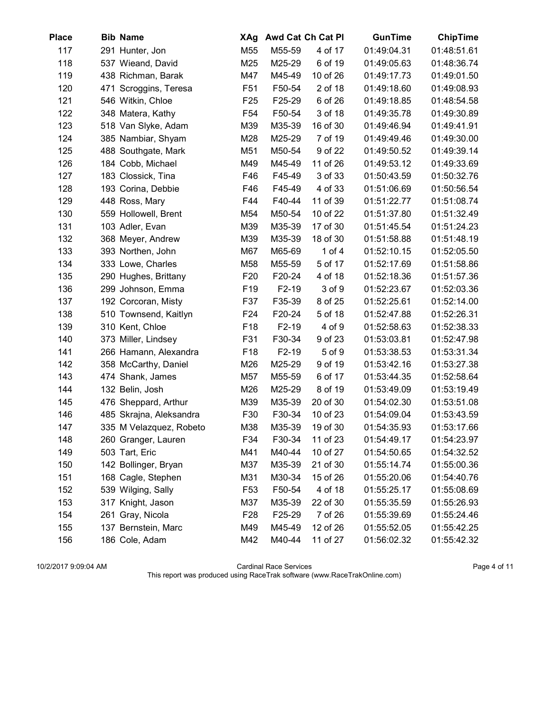| <b>Place</b> | <b>Bib Name</b>         | XAg             |         | Awd Cat Ch Cat Pl | GunTime     | <b>ChipTime</b> |
|--------------|-------------------------|-----------------|---------|-------------------|-------------|-----------------|
| 117          | 291 Hunter, Jon         | M55             | M55-59  | 4 of 17           | 01:49:04.31 | 01:48:51.61     |
| 118          | 537 Wieand, David       | M25             | M25-29  | 6 of 19           | 01:49:05.63 | 01:48:36.74     |
| 119          | 438 Richman, Barak      | M47             | M45-49  | 10 of 26          | 01:49:17.73 | 01:49:01.50     |
| 120          | 471 Scroggins, Teresa   | F <sub>51</sub> | F50-54  | 2 of 18           | 01:49:18.60 | 01:49:08.93     |
| 121          | 546 Witkin, Chloe       | F <sub>25</sub> | F25-29  | 6 of 26           | 01:49:18.85 | 01:48:54.58     |
| 122          | 348 Matera, Kathy       | F <sub>54</sub> | F50-54  | 3 of 18           | 01:49:35.78 | 01:49:30.89     |
| 123          | 518 Van Slyke, Adam     | M39             | M35-39  | 16 of 30          | 01:49:46.94 | 01:49:41.91     |
| 124          | 385 Nambiar, Shyam      | M28             | M25-29  | 7 of 19           | 01:49:49.46 | 01:49:30.00     |
| 125          | 488 Southgate, Mark     | M51             | M50-54  | 9 of 22           | 01:49:50.52 | 01:49:39.14     |
| 126          | 184 Cobb, Michael       | M49             | M45-49  | 11 of 26          | 01:49:53.12 | 01:49:33.69     |
| 127          | 183 Clossick, Tina      | F46             | F45-49  | 3 of 33           | 01:50:43.59 | 01:50:32.76     |
| 128          | 193 Corina, Debbie      | F46             | F45-49  | 4 of 33           | 01:51:06.69 | 01:50:56.54     |
| 129          | 448 Ross, Mary          | F44             | F40-44  | 11 of 39          | 01:51:22.77 | 01:51:08.74     |
| 130          | 559 Hollowell, Brent    | M54             | M50-54  | 10 of 22          | 01:51:37.80 | 01:51:32.49     |
| 131          | 103 Adler, Evan         | M39             | M35-39  | 17 of 30          | 01:51:45.54 | 01:51:24.23     |
| 132          | 368 Meyer, Andrew       | M39             | M35-39  | 18 of 30          | 01:51:58.88 | 01:51:48.19     |
| 133          | 393 Northen, John       | M67             | M65-69  | 1 of $4$          | 01:52:10.15 | 01:52:05.50     |
| 134          | 333 Lowe, Charles       | M58             | M55-59  | 5 of 17           | 01:52:17.69 | 01:51:58.86     |
| 135          | 290 Hughes, Brittany    | F <sub>20</sub> | F20-24  | 4 of 18           | 01:52:18.36 | 01:51:57.36     |
| 136          | 299 Johnson, Emma       | F <sub>19</sub> | F2-19   | 3 of 9            | 01:52:23.67 | 01:52:03.36     |
| 137          | 192 Corcoran, Misty     | F37             | F35-39  | 8 of 25           | 01:52:25.61 | 01:52:14.00     |
| 138          | 510 Townsend, Kaitlyn   | F <sub>24</sub> | F20-24  | 5 of 18           | 01:52:47.88 | 01:52:26.31     |
| 139          | 310 Kent, Chloe         | F <sub>18</sub> | F2-19   | 4 of 9            | 01:52:58.63 | 01:52:38.33     |
| 140          | 373 Miller, Lindsey     | F31             | F30-34  | 9 of 23           | 01:53:03.81 | 01:52:47.98     |
| 141          | 266 Hamann, Alexandra   | F <sub>18</sub> | $F2-19$ | 5 of 9            | 01:53:38.53 | 01:53:31.34     |
| 142          | 358 McCarthy, Daniel    | M26             | M25-29  | 9 of 19           | 01:53:42.16 | 01:53:27.38     |
| 143          | 474 Shank, James        | M57             | M55-59  | 6 of 17           | 01:53:44.35 | 01:52:58.64     |
| 144          | 132 Belin, Josh         | M26             | M25-29  | 8 of 19           | 01:53:49.09 | 01:53:19.49     |
| 145          | 476 Sheppard, Arthur    | M39             | M35-39  | 20 of 30          | 01:54:02.30 | 01:53:51.08     |
| 146          | 485 Skrajna, Aleksandra | F30             | F30-34  | 10 of 23          | 01:54:09.04 | 01:53:43.59     |
| 147          | 335 M Velazquez, Robeto | M38             | M35-39  | 19 of 30          | 01:54:35.93 | 01:53:17.66     |
| 148          | 260 Granger, Lauren     | F34             | F30-34  | 11 of 23          | 01:54:49.17 | 01:54:23.97     |
| 149          | 503 Tart, Eric          | M41             | M40-44  | 10 of 27          | 01:54:50.65 | 01:54:32.52     |
| 150          | 142 Bollinger, Bryan    | M37             | M35-39  | 21 of 30          | 01:55:14.74 | 01:55:00.36     |
| 151          | 168 Cagle, Stephen      | M31             | M30-34  | 15 of 26          | 01:55:20.06 | 01:54:40.76     |
| 152          | 539 Wilging, Sally      | F <sub>53</sub> | F50-54  | 4 of 18           | 01:55:25.17 | 01:55:08.69     |
| 153          | 317 Knight, Jason       | M37             | M35-39  | 22 of 30          | 01:55:35.59 | 01:55:26.93     |
| 154          | 261 Gray, Nicola        | F <sub>28</sub> | F25-29  | 7 of 26           | 01:55:39.69 | 01:55:24.46     |
| 155          | 137 Bernstein, Marc     | M49             | M45-49  | 12 of 26          | 01:55:52.05 | 01:55:42.25     |
| 156          | 186 Cole, Adam          | M42             | M40-44  | 11 of 27          | 01:56:02.32 | 01:55:42.32     |

10/2/2017 9:09:04 AM Cardinal Race Services Page 4 of 11 This report was produced using RaceTrak software (www.RaceTrakOnline.com)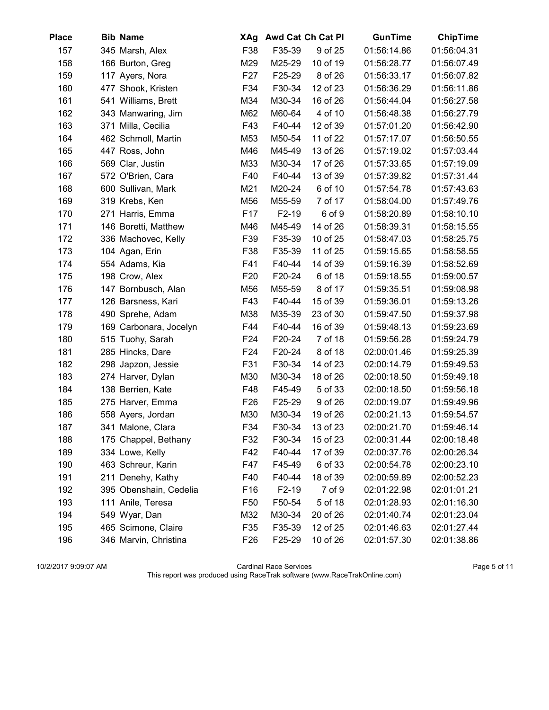| <b>Place</b> | <b>Bib Name</b>        | XAg             |        | Awd Cat Ch Cat Pl | <b>GunTime</b> | <b>ChipTime</b> |
|--------------|------------------------|-----------------|--------|-------------------|----------------|-----------------|
| 157          | 345 Marsh, Alex        | F38             | F35-39 | 9 of 25           | 01:56:14.86    | 01:56:04.31     |
| 158          | 166 Burton, Greg       | M29             | M25-29 | 10 of 19          | 01:56:28.77    | 01:56:07.49     |
| 159          | 117 Ayers, Nora        | F <sub>27</sub> | F25-29 | 8 of 26           | 01:56:33.17    | 01:56:07.82     |
| 160          | 477 Shook, Kristen     | F34             | F30-34 | 12 of 23          | 01:56:36.29    | 01:56:11.86     |
| 161          | 541 Williams, Brett    | M34             | M30-34 | 16 of 26          | 01:56:44.04    | 01:56:27.58     |
| 162          | 343 Manwaring, Jim     | M62             | M60-64 | 4 of 10           | 01:56:48.38    | 01:56:27.79     |
| 163          | 371 Milla, Cecilia     | F43             | F40-44 | 12 of 39          | 01:57:01.20    | 01:56:42.90     |
| 164          | 462 Schmoll, Martin    | M53             | M50-54 | 11 of 22          | 01:57:17.07    | 01:56:50.55     |
| 165          | 447 Ross, John         | M46             | M45-49 | 13 of 26          | 01:57:19.02    | 01:57:03.44     |
| 166          | 569 Clar, Justin       | M33             | M30-34 | 17 of 26          | 01:57:33.65    | 01:57:19.09     |
| 167          | 572 O'Brien, Cara      | F40             | F40-44 | 13 of 39          | 01:57:39.82    | 01:57:31.44     |
| 168          | 600 Sullivan, Mark     | M21             | M20-24 | 6 of 10           | 01:57:54.78    | 01:57:43.63     |
| 169          | 319 Krebs, Ken         | M56             | M55-59 | 7 of 17           | 01:58:04.00    | 01:57:49.76     |
| 170          | 271 Harris, Emma       | F <sub>17</sub> | F2-19  | 6 of 9            | 01:58:20.89    | 01:58:10.10     |
| 171          | 146 Boretti, Matthew   | M46             | M45-49 | 14 of 26          | 01:58:39.31    | 01:58:15.55     |
| 172          | 336 Machovec, Kelly    | F39             | F35-39 | 10 of 25          | 01:58:47.03    | 01:58:25.75     |
| 173          | 104 Agan, Erin         | F38             | F35-39 | 11 of 25          | 01:59:15.65    | 01:58:58.55     |
| 174          | 554 Adams, Kia         | F41             | F40-44 | 14 of 39          | 01:59:16.39    | 01:58:52.69     |
| 175          | 198 Crow, Alex         | F <sub>20</sub> | F20-24 | 6 of 18           | 01:59:18.55    | 01:59:00.57     |
| 176          | 147 Bornbusch, Alan    | M56             | M55-59 | 8 of 17           | 01:59:35.51    | 01:59:08.98     |
| 177          | 126 Barsness, Kari     | F43             | F40-44 | 15 of 39          | 01:59:36.01    | 01:59:13.26     |
| 178          | 490 Sprehe, Adam       | M38             | M35-39 | 23 of 30          | 01:59:47.50    | 01:59:37.98     |
| 179          | 169 Carbonara, Jocelyn | F44             | F40-44 | 16 of 39          | 01:59:48.13    | 01:59:23.69     |
| 180          | 515 Tuohy, Sarah       | F <sub>24</sub> | F20-24 | 7 of 18           | 01:59:56.28    | 01:59:24.79     |
| 181          | 285 Hincks, Dare       | F24             | F20-24 | 8 of 18           | 02:00:01.46    | 01:59:25.39     |
| 182          | 298 Japzon, Jessie     | F31             | F30-34 | 14 of 23          | 02:00:14.79    | 01:59:49.53     |
| 183          | 274 Harver, Dylan      | M30             | M30-34 | 18 of 26          | 02:00:18.50    | 01:59:49.18     |
| 184          | 138 Berrien, Kate      | F48             | F45-49 | 5 of 33           | 02:00:18.50    | 01:59:56.18     |
| 185          | 275 Harver, Emma       | F <sub>26</sub> | F25-29 | 9 of 26           | 02:00:19.07    | 01:59:49.96     |
| 186          | 558 Ayers, Jordan      | M30             | M30-34 | 19 of 26          | 02:00:21.13    | 01:59:54.57     |
| 187          | 341 Malone, Clara      | F34             | F30-34 | 13 of 23          | 02:00:21.70    | 01:59:46.14     |
| 188          | 175 Chappel, Bethany   | F32             | F30-34 | 15 of 23          | 02:00:31.44    | 02:00:18.48     |
| 189          | 334 Lowe, Kelly        | F42             | F40-44 | 17 of 39          | 02:00:37.76    | 02:00:26.34     |
| 190          | 463 Schreur, Karin     | F47             | F45-49 | 6 of 33           | 02:00:54.78    | 02:00:23.10     |
| 191          | 211 Denehy, Kathy      | F40             | F40-44 | 18 of 39          | 02:00:59.89    | 02:00:52.23     |
| 192          | 395 Obenshain, Cedelia | F <sub>16</sub> | F2-19  | 7 of 9            | 02:01:22.98    | 02:01:01.21     |
| 193          | 111 Anile, Teresa      | F <sub>50</sub> | F50-54 | 5 of 18           | 02:01:28.93    | 02:01:16.30     |
| 194          | 549 Wyar, Dan          | M32             | M30-34 | 20 of 26          | 02:01:40.74    | 02:01:23.04     |
| 195          | 465 Scimone, Claire    | F35             | F35-39 | 12 of 25          | 02:01:46.63    | 02:01:27.44     |
| 196          | 346 Marvin, Christina  | F <sub>26</sub> | F25-29 | 10 of 26          | 02:01:57.30    | 02:01:38.86     |

10/2/2017 9:09:07 AM Cardinal Race Services Page 5 of 11 This report was produced using RaceTrak software (www.RaceTrakOnline.com)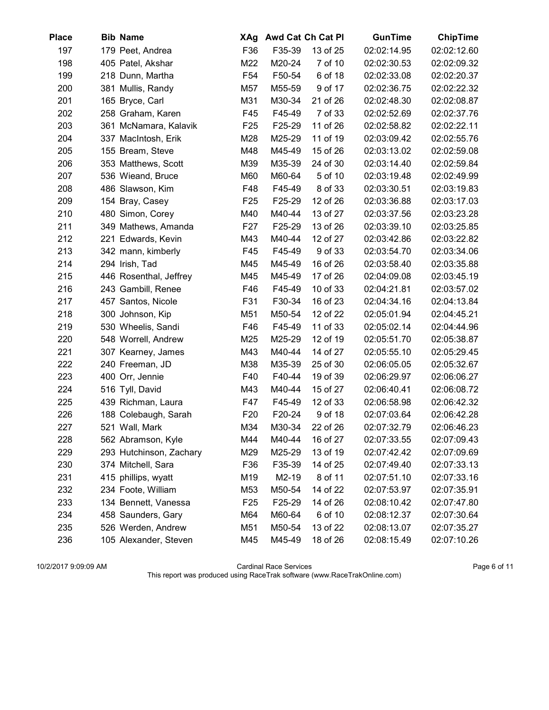| <b>Place</b> | <b>Bib Name</b>         | XAg             |        | Awd Cat Ch Cat PI | <b>GunTime</b> | <b>ChipTime</b> |
|--------------|-------------------------|-----------------|--------|-------------------|----------------|-----------------|
| 197          | 179 Peet, Andrea        | F36             | F35-39 | 13 of 25          | 02:02:14.95    | 02:02:12.60     |
| 198          | 405 Patel, Akshar       | M22             | M20-24 | 7 of 10           | 02:02:30.53    | 02:02:09.32     |
| 199          | 218 Dunn, Martha        | F <sub>54</sub> | F50-54 | 6 of 18           | 02:02:33.08    | 02:02:20.37     |
| 200          | 381 Mullis, Randy       | M57             | M55-59 | 9 of 17           | 02:02:36.75    | 02:02:22.32     |
| 201          | 165 Bryce, Carl         | M31             | M30-34 | 21 of 26          | 02:02:48.30    | 02:02:08.87     |
| 202          | 258 Graham, Karen       | F45             | F45-49 | 7 of 33           | 02:02:52.69    | 02:02:37.76     |
| 203          | 361 McNamara, Kalavik   | F <sub>25</sub> | F25-29 | 11 of 26          | 02:02:58.82    | 02:02:22.11     |
| 204          | 337 MacIntosh, Erik     | M28             | M25-29 | 11 of 19          | 02:03:09.42    | 02:02:55.76     |
| 205          | 155 Bream, Steve        | M48             | M45-49 | 15 of 26          | 02:03:13.02    | 02:02:59.08     |
| 206          | 353 Matthews, Scott     | M39             | M35-39 | 24 of 30          | 02:03:14.40    | 02:02:59.84     |
| 207          | 536 Wieand, Bruce       | M60             | M60-64 | 5 of 10           | 02:03:19.48    | 02:02:49.99     |
| 208          | 486 Slawson, Kim        | F48             | F45-49 | 8 of 33           | 02:03:30.51    | 02:03:19.83     |
| 209          | 154 Bray, Casey         | F <sub>25</sub> | F25-29 | 12 of 26          | 02:03:36.88    | 02:03:17.03     |
| 210          | 480 Simon, Corey        | M40             | M40-44 | 13 of 27          | 02:03:37.56    | 02:03:23.28     |
| 211          | 349 Mathews, Amanda     | F <sub>27</sub> | F25-29 | 13 of 26          | 02:03:39.10    | 02:03:25.85     |
| 212          | 221 Edwards, Kevin      | M43             | M40-44 | 12 of 27          | 02:03:42.86    | 02:03:22.82     |
| 213          | 342 mann, kimberly      | F45             | F45-49 | 9 of 33           | 02:03:54.70    | 02:03:34.06     |
| 214          | 294 Irish, Tad          | M45             | M45-49 | 16 of 26          | 02:03:58.40    | 02:03:35.88     |
| 215          | 446 Rosenthal, Jeffrey  | M45             | M45-49 | 17 of 26          | 02:04:09.08    | 02:03:45.19     |
| 216          | 243 Gambill, Renee      | F46             | F45-49 | 10 of 33          | 02:04:21.81    | 02:03:57.02     |
| 217          | 457 Santos, Nicole      | F31             | F30-34 | 16 of 23          | 02:04:34.16    | 02:04:13.84     |
| 218          | 300 Johnson, Kip        | M51             | M50-54 | 12 of 22          | 02:05:01.94    | 02:04:45.21     |
| 219          | 530 Wheelis, Sandi      | F46             | F45-49 | 11 of 33          | 02:05:02.14    | 02:04:44.96     |
| 220          | 548 Worrell, Andrew     | M25             | M25-29 | 12 of 19          | 02:05:51.70    | 02:05:38.87     |
| 221          | 307 Kearney, James      | M43             | M40-44 | 14 of 27          | 02:05:55.10    | 02:05:29.45     |
| 222          | 240 Freeman, JD         | M38             | M35-39 | 25 of 30          | 02:06:05.05    | 02:05:32.67     |
| 223          | 400 Orr, Jennie         | F40             | F40-44 | 19 of 39          | 02:06:29.97    | 02:06:06.27     |
| 224          | 516 Tyll, David         | M43             | M40-44 | 15 of 27          | 02:06:40.41    | 02:06:08.72     |
| 225          | 439 Richman, Laura      | F47             | F45-49 | 12 of 33          | 02:06:58.98    | 02:06:42.32     |
| 226          | 188 Colebaugh, Sarah    | F <sub>20</sub> | F20-24 | 9 of 18           | 02:07:03.64    | 02:06:42.28     |
| 227          | 521 Wall, Mark          | M34             | M30-34 | 22 of 26          | 02:07:32.79    | 02:06:46.23     |
| 228          | 562 Abramson, Kyle      | M44             | M40-44 | 16 of 27          | 02:07:33.55    | 02:07:09.43     |
| 229          | 293 Hutchinson, Zachary | M29             | M25-29 | 13 of 19          | 02:07:42.42    | 02:07:09.69     |
| 230          | 374 Mitchell, Sara      | F36             | F35-39 | 14 of 25          | 02:07:49.40    | 02:07:33.13     |
| 231          | 415 phillips, wyatt     | M19             | M2-19  | 8 of 11           | 02:07:51.10    | 02:07:33.16     |
| 232          | 234 Foote, William      | M53             | M50-54 | 14 of 22          | 02:07:53.97    | 02:07:35.91     |
| 233          | 134 Bennett, Vanessa    | F <sub>25</sub> | F25-29 | 14 of 26          | 02:08:10.42    | 02:07:47.80     |
| 234          | 458 Saunders, Gary      | M64             | M60-64 | 6 of 10           | 02:08:12.37    | 02:07:30.64     |
| 235          | 526 Werden, Andrew      | M51             | M50-54 | 13 of 22          | 02:08:13.07    | 02:07:35.27     |
| 236          | 105 Alexander, Steven   | M45             | M45-49 | 18 of 26          | 02:08:15.49    | 02:07:10.26     |

10/2/2017 9:09:09 AM Cardinal Race Services Page 6 of 11 This report was produced using RaceTrak software (www.RaceTrakOnline.com)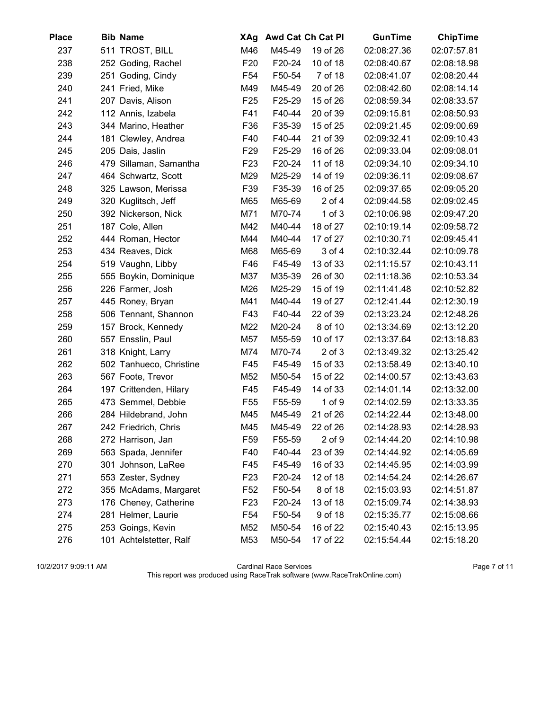| <b>Place</b> | <b>Bib Name</b>         | XAg             |        | Awd Cat Ch Cat PI | GunTime     | <b>ChipTime</b> |
|--------------|-------------------------|-----------------|--------|-------------------|-------------|-----------------|
| 237          | 511 TROST, BILL         | M46             | M45-49 | 19 of 26          | 02:08:27.36 | 02:07:57.81     |
| 238          | 252 Goding, Rachel      | F <sub>20</sub> | F20-24 | 10 of 18          | 02:08:40.67 | 02:08:18.98     |
| 239          | 251 Goding, Cindy       | F <sub>54</sub> | F50-54 | 7 of 18           | 02:08:41.07 | 02:08:20.44     |
| 240          | 241 Fried, Mike         | M49             | M45-49 | 20 of 26          | 02:08:42.60 | 02:08:14.14     |
| 241          | 207 Davis, Alison       | F <sub>25</sub> | F25-29 | 15 of 26          | 02:08:59.34 | 02:08:33.57     |
| 242          | 112 Annis, Izabela      | F41             | F40-44 | 20 of 39          | 02:09:15.81 | 02:08:50.93     |
| 243          | 344 Marino, Heather     | F36             | F35-39 | 15 of 25          | 02:09:21.45 | 02:09:00.69     |
| 244          | 181 Clewley, Andrea     | F40             | F40-44 | 21 of 39          | 02:09:32.41 | 02:09:10.43     |
| 245          | 205 Dais, Jaslin        | F <sub>29</sub> | F25-29 | 16 of 26          | 02:09:33.04 | 02:09:08.01     |
| 246          | 479 Sillaman, Samantha  | F <sub>23</sub> | F20-24 | 11 of 18          | 02:09:34.10 | 02:09:34.10     |
| 247          | 464 Schwartz, Scott     | M29             | M25-29 | 14 of 19          | 02:09:36.11 | 02:09:08.67     |
| 248          | 325 Lawson, Merissa     | F39             | F35-39 | 16 of 25          | 02:09:37.65 | 02:09:05.20     |
| 249          | 320 Kuglitsch, Jeff     | M65             | M65-69 | $2$ of $4$        | 02:09:44.58 | 02:09:02.45     |
| 250          | 392 Nickerson, Nick     | M71             | M70-74 | $1$ of $3$        | 02:10:06.98 | 02:09:47.20     |
| 251          | 187 Cole, Allen         | M42             | M40-44 | 18 of 27          | 02:10:19.14 | 02:09:58.72     |
| 252          | 444 Roman, Hector       | M44             | M40-44 | 17 of 27          | 02:10:30.71 | 02:09:45.41     |
| 253          | 434 Reaves, Dick        | M68             | M65-69 | 3 of 4            | 02:10:32.44 | 02:10:09.78     |
| 254          | 519 Vaughn, Libby       | F46             | F45-49 | 13 of 33          | 02:11:15.57 | 02:10:43.11     |
| 255          | 555 Boykin, Dominique   | M37             | M35-39 | 26 of 30          | 02:11:18.36 | 02:10:53.34     |
| 256          | 226 Farmer, Josh        | M26             | M25-29 | 15 of 19          | 02:11:41.48 | 02:10:52.82     |
| 257          | 445 Roney, Bryan        | M41             | M40-44 | 19 of 27          | 02:12:41.44 | 02:12:30.19     |
| 258          | 506 Tennant, Shannon    | F43             | F40-44 | 22 of 39          | 02:13:23.24 | 02:12:48.26     |
| 259          | 157 Brock, Kennedy      | M22             | M20-24 | 8 of 10           | 02:13:34.69 | 02:13:12.20     |
| 260          | 557 Ensslin, Paul       | M57             | M55-59 | 10 of 17          | 02:13:37.64 | 02:13:18.83     |
| 261          | 318 Knight, Larry       | M74             | M70-74 | $2$ of $3$        | 02:13:49.32 | 02:13:25.42     |
| 262          | 502 Tanhueco, Christine | F45             | F45-49 | 15 of 33          | 02:13:58.49 | 02:13:40.10     |
| 263          | 567 Foote, Trevor       | M52             | M50-54 | 15 of 22          | 02:14:00.57 | 02:13:43.63     |
| 264          | 197 Crittenden, Hilary  | F45             | F45-49 | 14 of 33          | 02:14:01.14 | 02:13:32.00     |
| 265          | 473 Semmel, Debbie      | F <sub>55</sub> | F55-59 | $1$ of $9$        | 02:14:02.59 | 02:13:33.35     |
| 266          | 284 Hildebrand, John    | M45             | M45-49 | 21 of 26          | 02:14:22.44 | 02:13:48.00     |
| 267          | 242 Friedrich, Chris    | M45             | M45-49 | 22 of 26          | 02:14:28.93 | 02:14:28.93     |
| 268          | 272 Harrison, Jan       | F <sub>59</sub> | F55-59 | $2$ of $9$        | 02:14:44.20 | 02:14:10.98     |
| 269          | 563 Spada, Jennifer     | F40             | F40-44 | 23 of 39          | 02:14:44.92 | 02:14:05.69     |
| 270          | 301 Johnson, LaRee      | F45             | F45-49 | 16 of 33          | 02:14:45.95 | 02:14:03.99     |
| 271          | 553 Zester, Sydney      | F <sub>23</sub> | F20-24 | 12 of 18          | 02:14:54.24 | 02:14:26.67     |
| 272          | 355 McAdams, Margaret   | F52             | F50-54 | 8 of 18           | 02:15:03.93 | 02:14:51.87     |
| 273          | 176 Cheney, Catherine   | F <sub>23</sub> | F20-24 | 13 of 18          | 02:15:09.74 | 02:14:38.93     |
| 274          | 281 Helmer, Laurie      | F54             | F50-54 | 9 of 18           | 02:15:35.77 | 02:15:08.66     |
| 275          | 253 Goings, Kevin       | M52             | M50-54 | 16 of 22          | 02:15:40.43 | 02:15:13.95     |
| 276          | 101 Achtelstetter, Ralf | M53             | M50-54 | 17 of 22          | 02:15:54.44 | 02:15:18.20     |

10/2/2017 9:09:11 AM Cardinal Race Services Page 7 of 11 This report was produced using RaceTrak software (www.RaceTrakOnline.com)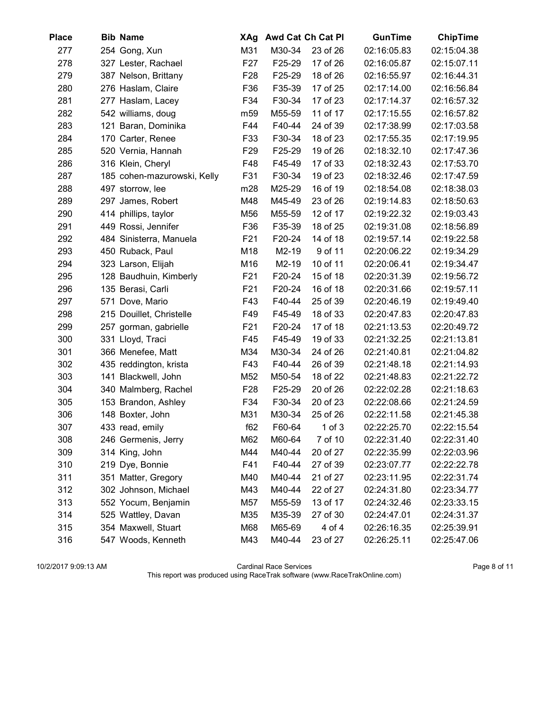| <b>Place</b> | <b>Bib Name</b>             | XAg             |        | Awd Cat Ch Cat Pl | <b>GunTime</b> | <b>ChipTime</b> |
|--------------|-----------------------------|-----------------|--------|-------------------|----------------|-----------------|
| 277          | 254 Gong, Xun               | M31             | M30-34 | 23 of 26          | 02:16:05.83    | 02:15:04.38     |
| 278          | 327 Lester, Rachael         | F <sub>27</sub> | F25-29 | 17 of 26          | 02:16:05.87    | 02:15:07.11     |
| 279          | 387 Nelson, Brittany        | F <sub>28</sub> | F25-29 | 18 of 26          | 02:16:55.97    | 02:16:44.31     |
| 280          | 276 Haslam, Claire          | F36             | F35-39 | 17 of 25          | 02:17:14.00    | 02:16:56.84     |
| 281          | 277 Haslam, Lacey           | F34             | F30-34 | 17 of 23          | 02:17:14.37    | 02:16:57.32     |
| 282          | 542 williams, doug          | m59             | M55-59 | 11 of 17          | 02:17:15.55    | 02:16:57.82     |
| 283          | 121 Baran, Dominika         | F44             | F40-44 | 24 of 39          | 02:17:38.99    | 02:17:03.58     |
| 284          | 170 Carter, Renee           | F33             | F30-34 | 18 of 23          | 02:17:55.35    | 02:17:19.95     |
| 285          | 520 Vernia, Hannah          | F <sub>29</sub> | F25-29 | 19 of 26          | 02:18:32.10    | 02:17:47.36     |
| 286          | 316 Klein, Cheryl           | F48             | F45-49 | 17 of 33          | 02:18:32.43    | 02:17:53.70     |
| 287          | 185 cohen-mazurowski, Kelly | F31             | F30-34 | 19 of 23          | 02:18:32.46    | 02:17:47.59     |
| 288          | 497 storrow, lee            | m28             | M25-29 | 16 of 19          | 02:18:54.08    | 02:18:38.03     |
| 289          | 297 James, Robert           | M48             | M45-49 | 23 of 26          | 02:19:14.83    | 02:18:50.63     |
| 290          | 414 phillips, taylor        | M56             | M55-59 | 12 of 17          | 02:19:22.32    | 02:19:03.43     |
| 291          | 449 Rossi, Jennifer         | F36             | F35-39 | 18 of 25          | 02:19:31.08    | 02:18:56.89     |
| 292          | 484 Sinisterra, Manuela     | F <sub>21</sub> | F20-24 | 14 of 18          | 02:19:57.14    | 02:19:22.58     |
| 293          | 450 Ruback, Paul            | M18             | M2-19  | 9 of 11           | 02:20:06.22    | 02:19:34.29     |
| 294          | 323 Larson, Elijah          | M16             | M2-19  | 10 of 11          | 02:20:06.41    | 02:19:34.47     |
| 295          | 128 Baudhuin, Kimberly      | F <sub>21</sub> | F20-24 | 15 of 18          | 02:20:31.39    | 02:19:56.72     |
| 296          | 135 Berasi, Carli           | F <sub>21</sub> | F20-24 | 16 of 18          | 02:20:31.66    | 02:19:57.11     |
| 297          | 571 Dove, Mario             | F43             | F40-44 | 25 of 39          | 02:20:46.19    | 02:19:49.40     |
| 298          | 215 Douillet, Christelle    | F49             | F45-49 | 18 of 33          | 02:20:47.83    | 02:20:47.83     |
| 299          | 257 gorman, gabrielle       | F <sub>21</sub> | F20-24 | 17 of 18          | 02:21:13.53    | 02:20:49.72     |
| 300          | 331 Lloyd, Traci            | F45             | F45-49 | 19 of 33          | 02:21:32.25    | 02:21:13.81     |
| 301          | 366 Menefee, Matt           | M34             | M30-34 | 24 of 26          | 02:21:40.81    | 02:21:04.82     |
| 302          | 435 reddington, krista      | F43             | F40-44 | 26 of 39          | 02:21:48.18    | 02:21:14.93     |
| 303          | 141 Blackwell, John         | M52             | M50-54 | 18 of 22          | 02:21:48.83    | 02:21:22.72     |
| 304          | 340 Malmberg, Rachel        | F <sub>28</sub> | F25-29 | 20 of 26          | 02:22:02.28    | 02:21:18.63     |
| 305          | 153 Brandon, Ashley         | F34             | F30-34 | 20 of 23          | 02:22:08.66    | 02:21:24.59     |
| 306          | 148 Boxter, John            | M31             | M30-34 | 25 of 26          | 02:22:11.58    | 02:21:45.38     |
| 307          | 433 read, emily             | f62             | F60-64 | $1$ of $3$        | 02:22:25.70    | 02:22:15.54     |
| 308          | 246 Germenis, Jerry         | M62             | M60-64 | 7 of 10           | 02:22:31.40    | 02:22:31.40     |
| 309          | 314 King, John              | M44             | M40-44 | 20 of 27          | 02:22:35.99    | 02:22:03.96     |
| 310          | 219 Dye, Bonnie             | F41             | F40-44 | 27 of 39          | 02:23:07.77    | 02:22:22.78     |
| 311          | 351 Matter, Gregory         | M40             | M40-44 | 21 of 27          | 02:23:11.95    | 02:22:31.74     |
| 312          | 302 Johnson, Michael        | M43             | M40-44 | 22 of 27          | 02:24:31.80    | 02:23:34.77     |
| 313          | 552 Yocum, Benjamin         | M57             | M55-59 | 13 of 17          | 02:24:32.46    | 02:23:33.15     |
| 314          | 525 Wattley, Davan          | M35             | M35-39 | 27 of 30          | 02:24:47.01    | 02:24:31.37     |
| 315          | 354 Maxwell, Stuart         | M68             | M65-69 | 4 of 4            | 02:26:16.35    | 02:25:39.91     |
| 316          | 547 Woods, Kenneth          | M43             | M40-44 | 23 of 27          | 02:26:25.11    | 02:25:47.06     |

10/2/2017 9:09:13 AM Cardinal Race Services Page 8 of 11 This report was produced using RaceTrak software (www.RaceTrakOnline.com)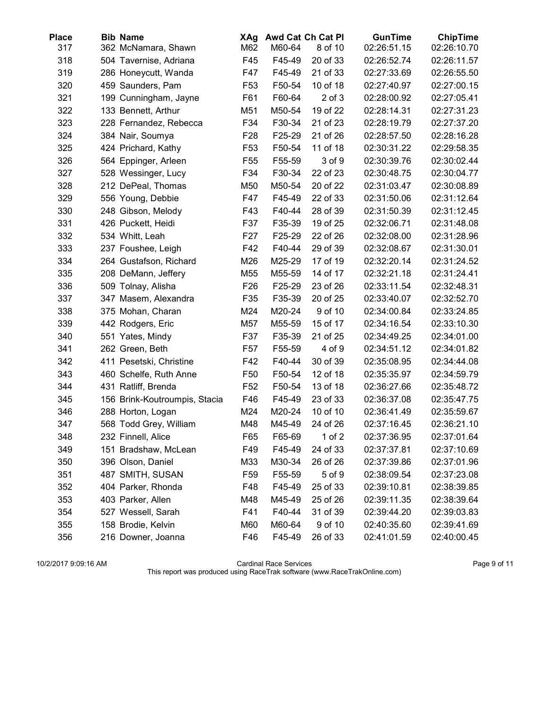| Place | <b>Bib Name</b>               | XAg             |        | Awd Cat Ch Cat Pl | <b>GunTime</b> | <b>ChipTime</b> |
|-------|-------------------------------|-----------------|--------|-------------------|----------------|-----------------|
| 317   | 362 McNamara, Shawn           | M62             | M60-64 | 8 of 10           | 02:26:51.15    | 02:26:10.70     |
| 318   | 504 Tavernise, Adriana        | F45             | F45-49 | 20 of 33          | 02:26:52.74    | 02:26:11.57     |
| 319   | 286 Honeycutt, Wanda          | F47             | F45-49 | 21 of 33          | 02:27:33.69    | 02:26:55.50     |
| 320   | 459 Saunders, Pam             | F <sub>53</sub> | F50-54 | 10 of 18          | 02:27:40.97    | 02:27:00.15     |
| 321   | 199 Cunningham, Jayne         | F61             | F60-64 | $2$ of $3$        | 02:28:00.92    | 02:27:05.41     |
| 322   | 133 Bennett, Arthur           | M51             | M50-54 | 19 of 22          | 02:28:14.31    | 02:27:31.23     |
| 323   | 228 Fernandez, Rebecca        | F34             | F30-34 | 21 of 23          | 02:28:19.79    | 02:27:37.20     |
| 324   | 384 Nair, Soumya              | F <sub>28</sub> | F25-29 | 21 of 26          | 02:28:57.50    | 02:28:16.28     |
| 325   | 424 Prichard, Kathy           | F <sub>53</sub> | F50-54 | 11 of 18          | 02:30:31.22    | 02:29:58.35     |
| 326   | 564 Eppinger, Arleen          | F <sub>55</sub> | F55-59 | 3 of 9            | 02:30:39.76    | 02:30:02.44     |
| 327   | 528 Wessinger, Lucy           | F34             | F30-34 | 22 of 23          | 02:30:48.75    | 02:30:04.77     |
| 328   | 212 DePeal, Thomas            | M50             | M50-54 | 20 of 22          | 02:31:03.47    | 02:30:08.89     |
| 329   | 556 Young, Debbie             | F47             | F45-49 | 22 of 33          | 02:31:50.06    | 02:31:12.64     |
| 330   | 248 Gibson, Melody            | F43             | F40-44 | 28 of 39          | 02:31:50.39    | 02:31:12.45     |
| 331   | 426 Puckett, Heidi            | F37             | F35-39 | 19 of 25          | 02:32:06.71    | 02:31:48.08     |
| 332   | 534 Whitt, Leah               | F <sub>27</sub> | F25-29 | 22 of 26          | 02:32:08.00    | 02:31:28.96     |
| 333   | 237 Foushee, Leigh            | F42             | F40-44 | 29 of 39          | 02:32:08.67    | 02:31:30.01     |
| 334   | 264 Gustafson, Richard        | M26             | M25-29 | 17 of 19          | 02:32:20.14    | 02:31:24.52     |
| 335   | 208 DeMann, Jeffery           | M55             | M55-59 | 14 of 17          | 02:32:21.18    | 02:31:24.41     |
| 336   | 509 Tolnay, Alisha            | F <sub>26</sub> | F25-29 | 23 of 26          | 02:33:11.54    | 02:32:48.31     |
| 337   | 347 Masem, Alexandra          | F35             | F35-39 | 20 of 25          | 02:33:40.07    | 02:32:52.70     |
| 338   | 375 Mohan, Charan             | M24             | M20-24 | 9 of 10           | 02:34:00.84    | 02:33:24.85     |
| 339   | 442 Rodgers, Eric             | M57             | M55-59 | 15 of 17          | 02:34:16.54    | 02:33:10.30     |
| 340   | 551 Yates, Mindy              | F37             | F35-39 | 21 of 25          | 02:34:49.25    | 02:34:01.00     |
| 341   | 262 Green, Beth               | F <sub>57</sub> | F55-59 | 4 of 9            | 02:34:51.12    | 02:34:01.82     |
| 342   | 411 Pesetski, Christine       | F42             | F40-44 | 30 of 39          | 02:35:08.95    | 02:34:44.08     |
| 343   | 460 Schelfe, Ruth Anne        | F <sub>50</sub> | F50-54 | 12 of 18          | 02:35:35.97    | 02:34:59.79     |
| 344   | 431 Ratliff, Brenda           | F <sub>52</sub> | F50-54 | 13 of 18          | 02:36:27.66    | 02:35:48.72     |
| 345   | 156 Brink-Koutroumpis, Stacia | F46             | F45-49 | 23 of 33          | 02:36:37.08    | 02:35:47.75     |
| 346   | 288 Horton, Logan             | M24             | M20-24 | 10 of 10          | 02:36:41.49    | 02:35:59.67     |
| 347   | 568 Todd Grey, William        | M48             | M45-49 | 24 of 26          | 02:37:16.45    | 02:36:21.10     |
| 348   | 232 Finnell, Alice            | F65             | F65-69 | $1$ of $2$        | 02:37:36.95    | 02:37:01.64     |
| 349   | 151 Bradshaw, McLean          | F49             | F45-49 | 24 of 33          | 02:37:37.81    | 02:37:10.69     |
| 350   | 396 Olson, Daniel             | M33             | M30-34 | 26 of 26          | 02:37:39.86    | 02:37:01.96     |
| 351   | 487 SMITH, SUSAN              | F <sub>59</sub> | F55-59 | 5 of 9            | 02:38:09.54    | 02:37:23.08     |
| 352   | 404 Parker, Rhonda            | F48             | F45-49 | 25 of 33          | 02:39:10.81    | 02:38:39.85     |
| 353   | 403 Parker, Allen             | M48             | M45-49 | 25 of 26          | 02:39:11.35    | 02:38:39.64     |
| 354   | 527 Wessell, Sarah            | F41             | F40-44 | 31 of 39          | 02:39:44.20    | 02:39:03.83     |
| 355   | 158 Brodie, Kelvin            | M60             | M60-64 | 9 of 10           | 02:40:35.60    | 02:39:41.69     |
| 356   | 216 Downer, Joanna            | F46             | F45-49 | 26 of 33          | 02:41:01.59    | 02:40:00.45     |

10/2/2017 9:09:16 AM Cardinal Race Services Page 9 of 11 This report was produced using RaceTrak software (www.RaceTrakOnline.com)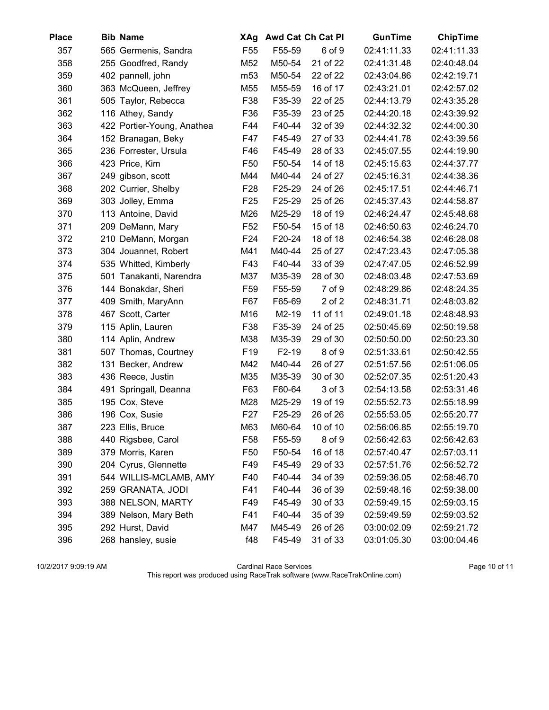| <b>Place</b> | <b>Bib Name</b>            | XAg             |         | Awd Cat Ch Cat Pl | <b>GunTime</b> | <b>ChipTime</b> |
|--------------|----------------------------|-----------------|---------|-------------------|----------------|-----------------|
| 357          | 565 Germenis, Sandra       | F <sub>55</sub> | F55-59  | 6 of 9            | 02:41:11.33    | 02:41:11.33     |
| 358          | 255 Goodfred, Randy        | M52             | M50-54  | 21 of 22          | 02:41:31.48    | 02:40:48.04     |
| 359          | 402 pannell, john          | m <sub>53</sub> | M50-54  | 22 of 22          | 02:43:04.86    | 02:42:19.71     |
| 360          | 363 McQueen, Jeffrey       | M55             | M55-59  | 16 of 17          | 02:43:21.01    | 02:42:57.02     |
| 361          | 505 Taylor, Rebecca        | F38             | F35-39  | 22 of 25          | 02:44:13.79    | 02:43:35.28     |
| 362          | 116 Athey, Sandy           | F36             | F35-39  | 23 of 25          | 02:44:20.18    | 02:43:39.92     |
| 363          | 422 Portier-Young, Anathea | F44             | F40-44  | 32 of 39          | 02:44:32.32    | 02:44:00.30     |
| 364          | 152 Branagan, Beky         | F47             | F45-49  | 27 of 33          | 02:44:41.78    | 02:43:39.56     |
| 365          | 236 Forrester, Ursula      | F46             | F45-49  | 28 of 33          | 02:45:07.55    | 02:44:19.90     |
| 366          | 423 Price, Kim             | F <sub>50</sub> | F50-54  | 14 of 18          | 02:45:15.63    | 02:44:37.77     |
| 367          | 249 gibson, scott          | M44             | M40-44  | 24 of 27          | 02:45:16.31    | 02:44:38.36     |
| 368          | 202 Currier, Shelby        | F <sub>28</sub> | F25-29  | 24 of 26          | 02:45:17.51    | 02:44:46.71     |
| 369          | 303 Jolley, Emma           | F25             | F25-29  | 25 of 26          | 02:45:37.43    | 02:44:58.87     |
| 370          | 113 Antoine, David         | M26             | M25-29  | 18 of 19          | 02:46:24.47    | 02:45:48.68     |
| 371          | 209 DeMann, Mary           | F <sub>52</sub> | F50-54  | 15 of 18          | 02:46:50.63    | 02:46:24.70     |
| 372          | 210 DeMann, Morgan         | F <sub>24</sub> | F20-24  | 18 of 18          | 02:46:54.38    | 02:46:28.08     |
| 373          | 304 Jouannet, Robert       | M41             | M40-44  | 25 of 27          | 02:47:23.43    | 02:47:05.38     |
| 374          | 535 Whitted, Kimberly      | F43             | F40-44  | 33 of 39          | 02:47:47.05    | 02:46:52.99     |
| 375          | 501 Tanakanti, Narendra    | M37             | M35-39  | 28 of 30          | 02:48:03.48    | 02:47:53.69     |
| 376          | 144 Bonakdar, Sheri        | F <sub>59</sub> | F55-59  | 7 of 9            | 02:48:29.86    | 02:48:24.35     |
| 377          | 409 Smith, MaryAnn         | F67             | F65-69  | $2$ of $2$        | 02:48:31.71    | 02:48:03.82     |
| 378          | 467 Scott, Carter          | M16             | M2-19   | 11 of 11          | 02:49:01.18    | 02:48:48.93     |
| 379          | 115 Aplin, Lauren          | F38             | F35-39  | 24 of 25          | 02:50:45.69    | 02:50:19.58     |
| 380          | 114 Aplin, Andrew          | M38             | M35-39  | 29 of 30          | 02:50:50.00    | 02:50:23.30     |
| 381          | 507 Thomas, Courtney       | F <sub>19</sub> | $F2-19$ | 8 of 9            | 02:51:33.61    | 02:50:42.55     |
| 382          | 131 Becker, Andrew         | M42             | M40-44  | 26 of 27          | 02:51:57.56    | 02:51:06.05     |
| 383          | 436 Reece, Justin          | M35             | M35-39  | 30 of 30          | 02:52:07.35    | 02:51:20.43     |
| 384          | 491 Springall, Deanna      | F63             | F60-64  | 3 of 3            | 02:54:13.58    | 02:53:31.46     |
| 385          | 195 Cox, Steve             | M28             | M25-29  | 19 of 19          | 02:55:52.73    | 02:55:18.99     |
| 386          | 196 Cox, Susie             | F <sub>27</sub> | F25-29  | 26 of 26          | 02:55:53.05    | 02:55:20.77     |
| 387          | 223 Ellis, Bruce           | M63             | M60-64  | 10 of 10          | 02:56:06.85    | 02:55:19.70     |
| 388          | 440 Rigsbee, Carol         | F <sub>58</sub> | F55-59  | 8 of 9            | 02:56:42.63    | 02:56:42.63     |
| 389          | 379 Morris, Karen          | F <sub>50</sub> | F50-54  | 16 of 18          | 02:57:40.47    | 02:57:03.11     |
| 390          | 204 Cyrus, Glennette       | F49             | F45-49  | 29 of 33          | 02:57:51.76    | 02:56:52.72     |
| 391          | 544 WILLIS-MCLAMB, AMY     | F40             | F40-44  | 34 of 39          | 02:59:36.05    | 02:58:46.70     |
| 392          | 259 GRANATA, JODI          | F41             | F40-44  | 36 of 39          | 02:59:48.16    | 02:59:38.00     |
| 393          | 388 NELSON, MARTY          | F49             | F45-49  | 30 of 33          | 02:59:49.15    | 02:59:03.15     |
| 394          | 389 Nelson, Mary Beth      | F41             | F40-44  | 35 of 39          | 02:59:49.59    | 02:59:03.52     |
| 395          | 292 Hurst, David           | M47             | M45-49  | 26 of 26          | 03:00:02.09    | 02:59:21.72     |
| 396          | 268 hansley, susie         | f48             | F45-49  | 31 of 33          | 03:01:05.30    | 03:00:04.46     |

10/2/2017 9:09:19 AM Cardinal Race Services Page 10 of 11 This report was produced using RaceTrak software (www.RaceTrakOnline.com)